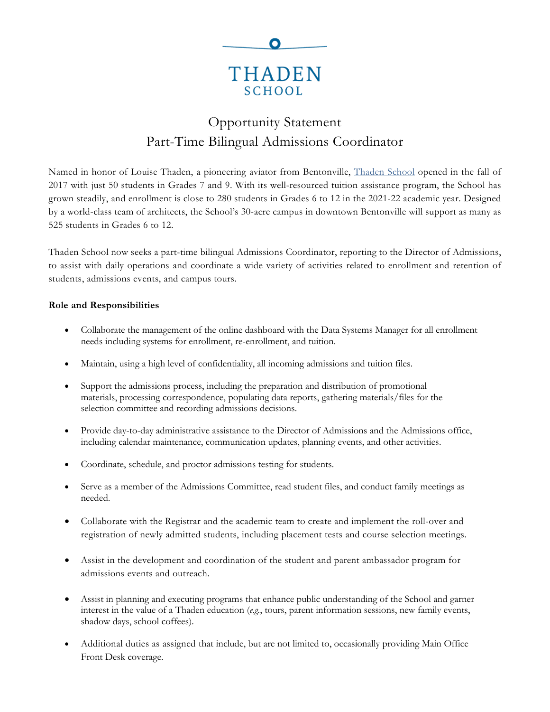

# Opportunity Statement Part-Time Bilingual Admissions Coordinator

Named in honor of Louise Thaden, a pioneering aviator from Bentonville, [Thaden](https://thadenschool.org/) School opened in the fall of 2017 with just 50 students in Grades 7 and 9. With its well-resourced tuition assistance program, the School has grown steadily, and enrollment is close to 280 students in Grades 6 to 12 in the 2021-22 academic year. Designed by a world-class team of architects, the School's 30-acre campus in downtown Bentonville will support as many as 525 students in Grades 6 to 12.

Thaden School now seeks a part-time bilingual Admissions Coordinator, reporting to the Director of Admissions, to assist with daily operations and coordinate a wide variety of activities related to enrollment and retention of students, admissions events, and campus tours.

## **Role and Responsibilities**

- Collaborate the management of the online dashboard with the Data Systems Manager for all enrollment needs including systems for enrollment, re-enrollment, and tuition.
- Maintain, using a high level of confidentiality, all incoming admissions and tuition files.
- Support the admissions process, including the preparation and distribution of promotional materials, processing correspondence, populating data reports, gathering materials/files for the selection committee and recording admissions decisions.
- Provide day-to-day administrative assistance to the Director of Admissions and the Admissions office, including calendar maintenance, communication updates, planning events, and other activities.
- Coordinate, schedule, and proctor admissions testing for students.
- Serve as a member of the Admissions Committee, read student files, and conduct family meetings as needed.
- Collaborate with the Registrar and the academic team to create and implement the roll-over and registration of newly admitted students, including placement tests and course selection meetings.
- Assist in the development and coordination of the student and parent ambassador program for admissions events and outreach.
- Assist in planning and executing programs that enhance public understanding of the School and garner interest in the value of a Thaden education (*e.g.*, tours, parent information sessions, new family events, shadow days, school coffees).
- Additional duties as assigned that include, but are not limited to, occasionally providing Main Office Front Desk coverage.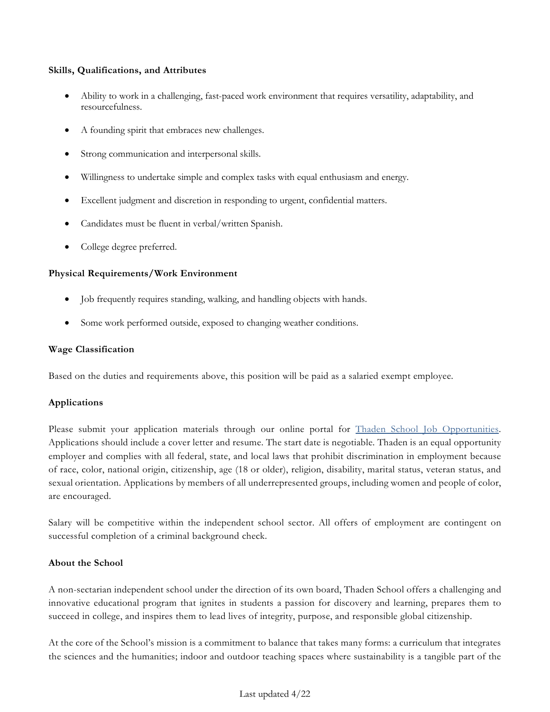### **Skills, Qualifications, and Attributes**

- Ability to work in a challenging, fast-paced work environment that requires versatility, adaptability, and resourcefulness.
- A founding spirit that embraces new challenges.
- Strong communication and interpersonal skills.
- Willingness to undertake simple and complex tasks with equal enthusiasm and energy.
- Excellent judgment and discretion in responding to urgent, confidential matters.
- Candidates must be fluent in verbal/written Spanish.
- College degree preferred.

## **Physical Requirements/Work Environment**

- Job frequently requires standing, walking, and handling objects with hands.
- Some work performed outside, exposed to changing weather conditions.

## **Wage Classification**

Based on the duties and requirements above, this position will be paid as a salaried exempt employee.

## **Applications**

Please submit your application materials through our online portal for Thaden School Job [Opportunities.](https://www.paycomonline.net/v4/ats/web.php/jobs?clientkey=E412B6EED165D3FD16DB0FF91E74B10C&session_nonce=915852c58367eb064b1ae3ce5464ff79) Applications should include a cover letter and resume. The start date is negotiable. Thaden is an equal opportunity employer and complies with all federal, state, and local laws that prohibit discrimination in employment because of race, color, national origin, citizenship, age (18 or older), religion, disability, marital status, veteran status, and sexual orientation. Applications by members of all underrepresented groups, including women and people of color, are encouraged.

Salary will be competitive within the independent school sector. All offers of employment are contingent on successful completion of a criminal background check.

## **About the School**

A non-sectarian independent school under the direction of its own board, Thaden School offers a challenging and innovative educational program that ignites in students a passion for discovery and learning, prepares them to succeed in college, and inspires them to lead lives of integrity, purpose, and responsible global citizenship.

At the core of the School's mission is a commitment to balance that takes many forms: a curriculum that integrates the sciences and the humanities; indoor and outdoor teaching spaces where sustainability is a tangible part of the